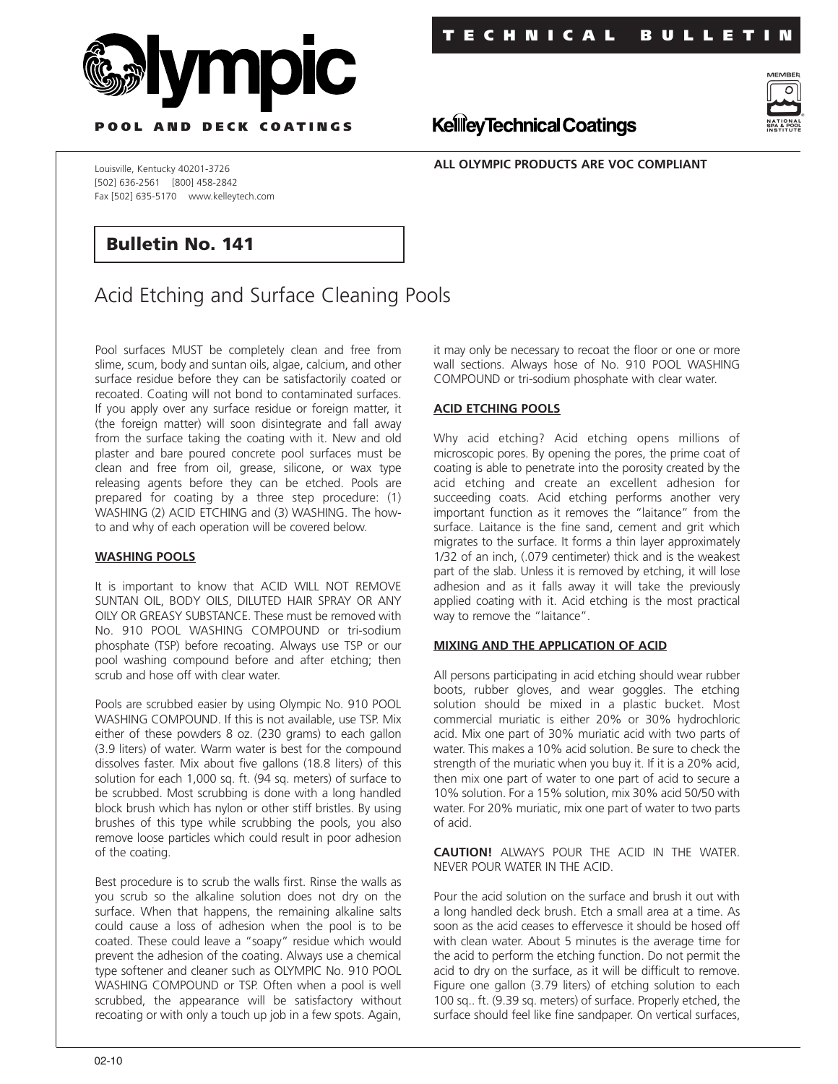

**T ECHNICAL BULLETIN**



**P OOL AND DECK COATINGS**

**ALL OLYMPIC PRODUCTS ARE VOC COMPLIANT**

**KellieyTechnical Coatings** 

Louisville, Kentucky 40201-3726 [502] 636-2561 [800] 458-2842 Fax [502] 635-5170 www.kelleytech.com

## **Bulletin No. 141**

# Acid Etching and Surface Cleaning Pools

Pool surfaces MUST be completely clean and free from slime, scum, body and suntan oils, algae, calcium, and other surface residue before they can be satisfactorily coated or recoated. Coating will not bond to contaminated surfaces. If you apply over any surface residue or foreign matter, it (the foreign matter) will soon disintegrate and fall away from the surface taking the coating with it. New and old plaster and bare poured concrete pool surfaces must be clean and free from oil, grease, silicone, or wax type releasing agents before they can be etched. Pools are prepared for coating by a three step procedure: (1) WASHING (2) ACID ETCHING and (3) WASHING. The howto and why of each operation will be covered below.

#### **WASHING POOLS**

It is important to know that ACID WILL NOT REMOVE SUNTAN OIL, BODY OILS, DILUTED HAIR SPRAY OR ANY OILY OR GREASY SUBSTANCE. These must be removed with No. 910 POOL WASHING COMPOUND or tri-sodium phosphate (TSP) before recoating. Always use TSP or our pool washing compound before and after etching; then scrub and hose off with clear water.

Pools are scrubbed easier by using Olympic No. 910 POOL WASHING COMPOUND. If this is not available, use TSP. Mix either of these powders 8 oz. (230 grams) to each gallon (3.9 liters) of water. Warm water is best for the compound dissolves faster. Mix about five gallons (18.8 liters) of this solution for each 1,000 sq. ft. (94 sq. meters) of surface to be scrubbed. Most scrubbing is done with a long handled block brush which has nylon or other stiff bristles. By using brushes of this type while scrubbing the pools, you also remove loose particles which could result in poor adhesion of the coating.

Best procedure is to scrub the walls first. Rinse the walls as you scrub so the alkaline solution does not dry on the surface. When that happens, the remaining alkaline salts could cause a loss of adhesion when the pool is to be coated. These could leave a "soapy" residue which would prevent the adhesion of the coating. Always use a chemical type softener and cleaner such as OLYMPIC No. 910 POOL WASHING COMPOUND or TSP. Often when a pool is well scrubbed, the appearance will be satisfactory without recoating or with only a touch up job in a few spots. Again,

it may only be necessary to recoat the floor or one or more wall sections. Always hose of No. 910 POOL WASHING COMPOUND or tri-sodium phosphate with clear water.

#### **ACID ETCHING POOLS**

Why acid etching? Acid etching opens millions of microscopic pores. By opening the pores, the prime coat of coating is able to penetrate into the porosity created by the acid etching and create an excellent adhesion for succeeding coats. Acid etching performs another very important function as it removes the "laitance" from the surface. Laitance is the fine sand, cement and grit which migrates to the surface. It forms a thin layer approximately 1/32 of an inch, (.079 centimeter) thick and is the weakest part of the slab. Unless it is removed by etching, it will lose adhesion and as it falls away it will take the previously applied coating with it. Acid etching is the most practical way to remove the "laitance".

#### **MIXING AND THE APPLICATION OF ACID**

All persons participating in acid etching should wear rubber boots, rubber gloves, and wear goggles. The etching solution should be mixed in a plastic bucket. Most commercial muriatic is either 20% or 30% hydrochloric acid. Mix one part of 30% muriatic acid with two parts of water. This makes a 10% acid solution. Be sure to check the strength of the muriatic when you buy it. If it is a 20% acid, then mix one part of water to one part of acid to secure a 10% solution. For a 15% solution, mix 30% acid 50/50 with water. For 20% muriatic, mix one part of water to two parts of acid.

**CAUTION!** ALWAYS POUR THE ACID IN THE WATER. NEVER POUR WATER IN THE ACID.

Pour the acid solution on the surface and brush it out with a long handled deck brush. Etch a small area at a time. As soon as the acid ceases to effervesce it should be hosed off with clean water. About 5 minutes is the average time for the acid to perform the etching function. Do not permit the acid to dry on the surface, as it will be difficult to remove. Figure one gallon (3.79 liters) of etching solution to each 100 sq.. ft. (9.39 sq. meters) of surface. Properly etched, the surface should feel like fine sandpaper. On vertical surfaces,